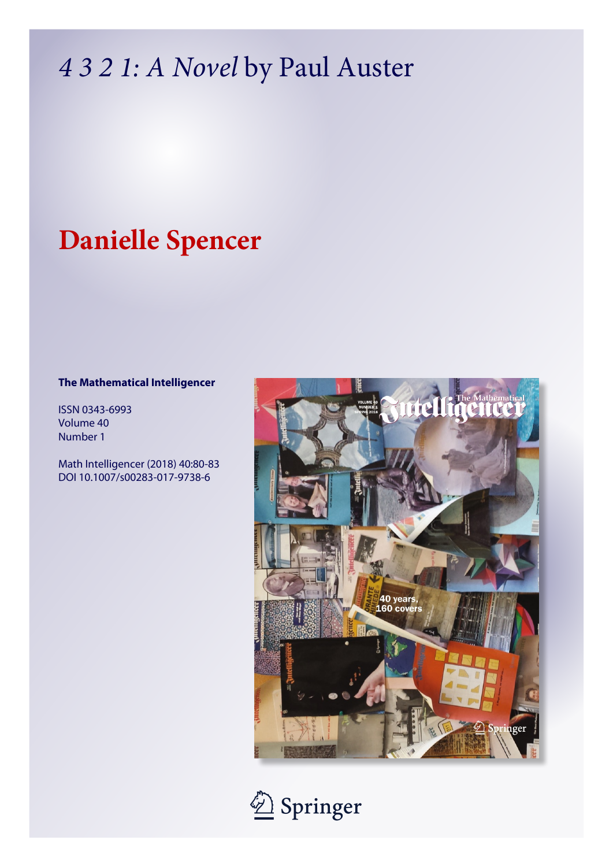# *4 3 2 1: A Novel* by Paul Auster

## **Danielle Spencer**

### **The Mathematical Intelligencer**

ISSN 0343-6993 Volume 40 Number 1

Math Intelligencer (2018) 40:80-83 DOI 10.1007/s00283-017-9738-6



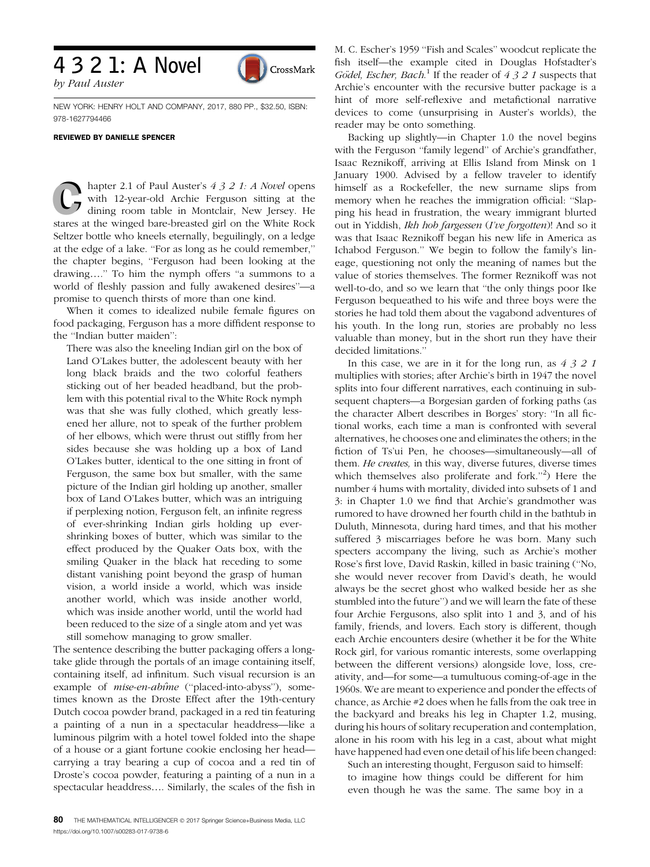## 4 3 2 1: A Novel

by Paul Auster

NEW YORK: HENRY HOLT AND COMPANY, 2017, 880 PP., \$32.50, ISBN: 978-1627794466

CrossMark

### REVIEWED BY DANIELLE SPENCER

hapter 2.1 of Paul Auster's 4 3 2 1: A Novel opens with 12-year-old Archie Ferguson sitting at the dining room table in Montclair, New Jersey. He stares at the winged bare-breasted girl on the White Rock Seltzer bottle who kneels eternally, beguilingly, on a ledge at the edge of a lake. ''For as long as he could remember,'' the chapter begins, ''Ferguson had been looking at the drawing….'' To him the nymph offers ''a summons to a world of fleshly passion and fully awakened desires''—a promise to quench thirsts of more than one kind.

When it comes to idealized nubile female figures on food packaging, Ferguson has a more diffident response to the ''Indian butter maiden'':

There was also the kneeling Indian girl on the box of Land O'Lakes butter, the adolescent beauty with her long black braids and the two colorful feathers sticking out of her beaded headband, but the problem with this potential rival to the White Rock nymph was that she was fully clothed, which greatly lessened her allure, not to speak of the further problem of her elbows, which were thrust out stiffly from her sides because she was holding up a box of Land O'Lakes butter, identical to the one sitting in front of Ferguson, the same box but smaller, with the same picture of the Indian girl holding up another, smaller box of Land O'Lakes butter, which was an intriguing if perplexing notion, Ferguson felt, an infinite regress of ever-shrinking Indian girls holding up evershrinking boxes of butter, which was similar to the effect produced by the Quaker Oats box, with the smiling Quaker in the black hat receding to some distant vanishing point beyond the grasp of human vision, a world inside a world, which was inside another world, which was inside another world, which was inside another world, until the world had been reduced to the size of a single atom and yet was still somehow managing to grow smaller.

The sentence describing the butter packaging offers a longtake glide through the portals of an image containing itself, containing itself, ad infinitum. Such visual recursion is an example of mise-en-abime ("placed-into-abyss"), sometimes known as the Droste Effect after the 19th-century Dutch cocoa powder brand, packaged in a red tin featuring a painting of a nun in a spectacular headdress—like a luminous pilgrim with a hotel towel folded into the shape of a house or a giant fortune cookie enclosing her head carrying a tray bearing a cup of cocoa and a red tin of Droste's cocoa powder, featuring a painting of a nun in a spectacular headdress…. Similarly, the scales of the fish in M. C. Escher's 1959 ''Fish and Scales'' woodcut replicate the fish itself—the example cited in Douglas Hofstadter's Gödel, Escher, Bach.<sup>1</sup> If the reader of 4 3 2 1 suspects that Archie's encounter with the recursive butter package is a hint of more self-reflexive and metafictional narrative devices to come (unsurprising in Auster's worlds), the reader may be onto something.

Backing up slightly—in Chapter 1.0 the novel begins with the Ferguson "family legend" of Archie's grandfather, Isaac Reznikoff, arriving at Ellis Island from Minsk on 1 January 1900. Advised by a fellow traveler to identify himself as a Rockefeller, the new surname slips from memory when he reaches the immigration official: ''Slapping his head in frustration, the weary immigrant blurted out in Yiddish, Ik<sup>h</sup> <sup>h</sup>ob fargessen (I've forgotten)! And so it was that Isaac Reznikoff began his new life in America as Ichabod Ferguson.'' We begin to follow the family's lineage, questioning not only the meaning of names but the value of stories themselves. The former Reznikoff was not well-to-do, and so we learn that ''the only things poor Ike Ferguson bequeathed to his wife and three boys were the stories he had told them about the vagabond adventures of his youth. In the long run, stories are probably no less valuable than money, but in the short run they have their decided limitations.''

In this case, we are in it for the long run, as  $4321$ multiplies with stories; after Archie's birth in 1947 the novel splits into four different narratives, each continuing in subsequent chapters—a Borgesian garden of forking paths (as the character Albert describes in Borges' story: ''In all fictional works, each time a man is confronted with several alternatives, he chooses one and eliminates the others; in the fiction of Ts'ui Pen, he chooses—simultaneously—all of them. He creates, in this way, diverse futures, diverse times which themselves also proliferate and fork."<sup>2</sup>) Here the number 4 hums with mortality, divided into subsets of 1 and 3: in Chapter 1.0 we find that Archie's grandmother was rumored to have drowned her fourth child in the bathtub in Duluth, Minnesota, during hard times, and that his mother suffered 3 miscarriages before he was born. Many such specters accompany the living, such as Archie's mother Rose's first love, David Raskin, killed in basic training (''No, she would never recover from David's death, he would always be the secret ghost who walked beside her as she stumbled into the future'') and we will learn the fate of these four Archie Fergusons, also split into 1 and 3, and of his family, friends, and lovers. Each story is different, though each Archie encounters desire (whether it be for the White Rock girl, for various romantic interests, some overlapping between the different versions) alongside love, loss, creativity, and—for some—a tumultuous coming-of-age in the 1960s. We are meant to experience and ponder the effects of chance, as Archie #2 does when he falls from the oak tree in the backyard and breaks his leg in Chapter 1.2, musing, during his hours of solitary recuperation and contemplation, alone in his room with his leg in a cast, about what might have happened had even one detail of his life been changed:

Such an interesting thought, Ferguson said to himself: to imagine how things could be different for him even though he was the same. The same boy in a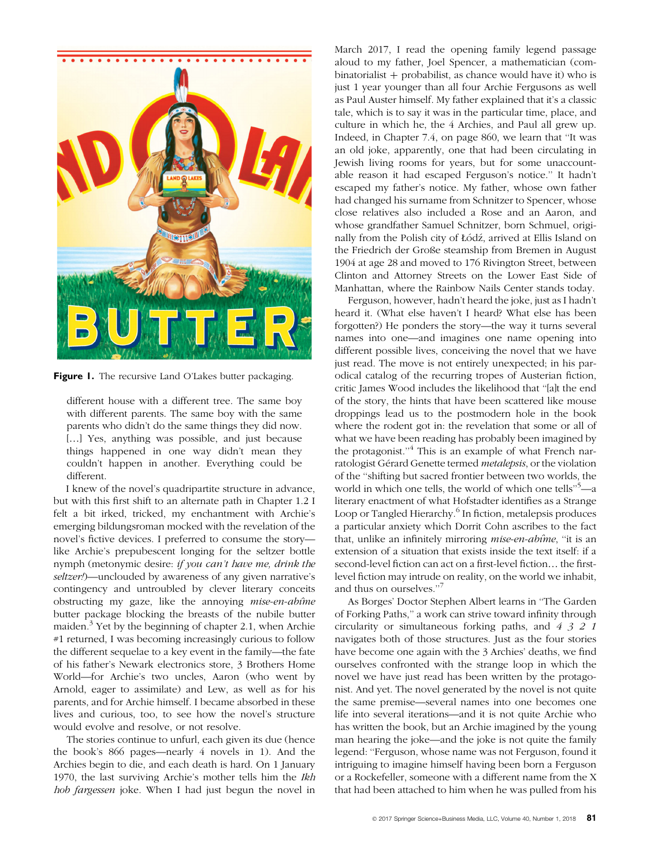

Figure 1. The recursive Land O'Lakes butter packaging.

different house with a different tree. The same boy with different parents. The same boy with the same parents who didn't do the same things they did now. [...] Yes, anything was possible, and just because things happened in one way didn't mean they couldn't happen in another. Everything could be different.

I knew of the novel's quadripartite structure in advance, but with this first shift to an alternate path in Chapter 1.2 I felt a bit irked, tricked, my enchantment with Archie's emerging bildungsroman mocked with the revelation of the novel's fictive devices. I preferred to consume the story like Archie's prepubescent longing for the seltzer bottle nymph (metonymic desire: if you can't <sup>h</sup>ave me, drink the seltzer!)—unclouded by awareness of any given narrative's contingency and untroubled by clever literary conceits obstructing my gaze, like the annoying mise-en-abime butter package blocking the breasts of the nubile butter maiden. $3$  Yet by the beginning of chapter 2.1, when Archie #1 returned, I was becoming increasingly curious to follow the different sequelae to a key event in the family—the fate of his father's Newark electronics store, 3 Brothers Home World—for Archie's two uncles, Aaron (who went by Arnold, eager to assimilate) and Lew, as well as for his parents, and for Archie himself. I became absorbed in these lives and curious, too, to see how the novel's structure would evolve and resolve, or not resolve.

The stories continue to unfurl, each given its due (hence the book's 866 pages—nearly 4 novels in 1). And the Archies begin to die, and each death is hard. On 1 January 1970, the last surviving Archie's mother tells him the Ik<sup>h</sup> <sup>h</sup>ob fargessen joke. When I had just begun the novel in March 2017, I read the opening family legend passage aloud to my father, Joel Spencer, a mathematician (com $binatorialist + probability, as chance would have it) who is$ just 1 year younger than all four Archie Fergusons as well as Paul Auster himself. My father explained that it's a classic tale, which is to say it was in the particular time, place, and culture in which he, the 4 Archies, and Paul all grew up. Indeed, in Chapter 7.4, on page 860, we learn that ''It was an old joke, apparently, one that had been circulating in Jewish living rooms for years, but for some unaccountable reason it had escaped Ferguson's notice.'' It hadn't escaped my father's notice. My father, whose own father had changed his surname from Schnitzer to Spencer, whose close relatives also included a Rose and an Aaron, and whose grandfather Samuel Schnitzer, born Schmuel, originally from the Polish city of Łódź, arrived at Ellis Island on the Friedrich der Große steamship from Bremen in August 1904 at age 28 and moved to 176 Rivington Street, between Clinton and Attorney Streets on the Lower East Side of Manhattan, where the Rainbow Nails Center stands today.

Ferguson, however, hadn't heard the joke, just as I hadn't heard it. (What else haven't I heard? What else has been forgotten?) He ponders the story—the way it turns several names into one—and imagines one name opening into different possible lives, conceiving the novel that we have just read. The move is not entirely unexpected; in his parodical catalog of the recurring tropes of Austerian fiction, critic James Wood includes the likelihood that ''[a]t the end of the story, the hints that have been scattered like mouse droppings lead us to the postmodern hole in the book where the rodent got in: the revelation that some or all of what we have been reading has probably been imagined by the protagonist."<sup>4</sup> This is an example of what French narratologist Gérard Genette termed metalepsis, or the violation of the ''shifting but sacred frontier between two worlds, the world in which one tells, the world of which one tells''<sup>5</sup> —a literary enactment of what Hofstadter identifies as a Strange Loop or Tangled Hierarchy.<sup>6</sup> In fiction, metalepsis produces a particular anxiety which Dorrit Cohn ascribes to the fact that, unlike an infinitely mirroring *mise-en-abûme*, "it is an extension of a situation that exists inside the text itself: if a second-level fiction can act on a first-level fiction… the firstlevel fiction may intrude on reality, on the world we inhabit, and thus on ourselves.''<sup>7</sup>

As Borges' Doctor Stephen Albert learns in ''The Garden of Forking Paths,'' a work can strive toward infinity through circularity or simultaneous forking paths, and 4321 navigates both of those structures. Just as the four stories have become one again with the 3 Archies' deaths, we find ourselves confronted with the strange loop in which the novel we have just read has been written by the protagonist. And yet. The novel generated by the novel is not quite the same premise—several names into one becomes one life into several iterations—and it is not quite Archie who has written the book, but an Archie imagined by the young man hearing the joke—and the joke is not quite the family legend: ''Ferguson, whose name was not Ferguson, found it intriguing to imagine himself having been born a Ferguson or a Rockefeller, someone with a different name from the X that had been attached to him when he was pulled from his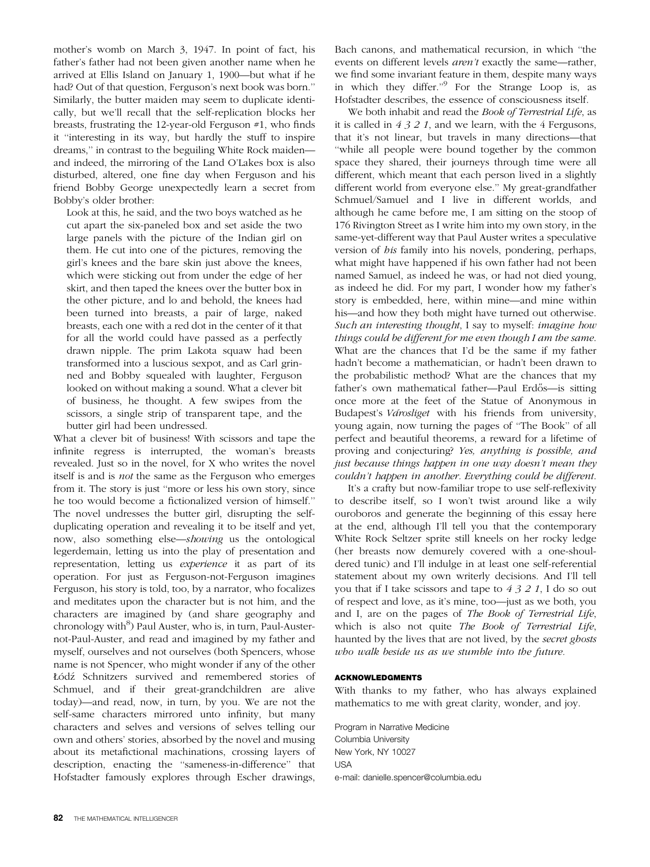mother's womb on March 3, 1947. In point of fact, his father's father had not been given another name when he arrived at Ellis Island on January 1, 1900—but what if he had? Out of that question, Ferguson's next book was born.'' Similarly, the butter maiden may seem to duplicate identically, but we'll recall that the self-replication blocks her breasts, frustrating the 12-year-old Ferguson #1, who finds it ''interesting in its way, but hardly the stuff to inspire dreams,'' in contrast to the beguiling White Rock maiden and indeed, the mirroring of the Land O'Lakes box is also disturbed, altered, one fine day when Ferguson and his friend Bobby George unexpectedly learn a secret from Bobby's older brother:

Look at this, he said, and the two boys watched as he cut apart the six-paneled box and set aside the two large panels with the picture of the Indian girl on them. He cut into one of the pictures, removing the girl's knees and the bare skin just above the knees, which were sticking out from under the edge of her skirt, and then taped the knees over the butter box in the other picture, and lo and behold, the knees had been turned into breasts, a pair of large, naked breasts, each one with a red dot in the center of it that for all the world could have passed as a perfectly drawn nipple. The prim Lakota squaw had been transformed into a luscious sexpot, and as Carl grinned and Bobby squealed with laughter, Ferguson looked on without making a sound. What a clever bit of business, he thought. A few swipes from the scissors, a single strip of transparent tape, and the butter girl had been undressed.

What a clever bit of business! With scissors and tape the infinite regress is interrupted, the woman's breasts revealed. Just so in the novel, for X who writes the novel itself is and is not the same as the Ferguson who emerges from it. The story is just ''more or less his own story, since he too would become a fictionalized version of himself.'' The novel undresses the butter girl, disrupting the selfduplicating operation and revealing it to be itself and yet, now, also something else—showing us the ontological legerdemain, letting us into the play of presentation and representation, letting us experience it as part of its operation. For just as Ferguson-not-Ferguson imagines Ferguson, his story is told, too, by a narrator, who focalizes and meditates upon the character but is not him, and the characters are imagined by (and share geography and chronology with<sup>8</sup>) Paul Auster, who is, in turn, Paul-Austernot-Paul-Auster, and read and imagined by my father and myself, ourselves and not ourselves (both Spencers, whose name is not Spencer, who might wonder if any of the other Łódź Schnitzers survived and remembered stories of Schmuel, and if their great-grandchildren are alive today)—and read, now, in turn, by you. We are not the self-same characters mirrored unto infinity, but many characters and selves and versions of selves telling our own and others' stories, absorbed by the novel and musing about its metafictional machinations, crossing layers of description, enacting the ''sameness-in-difference'' that Hofstadter famously explores through Escher drawings,

Bach canons, and mathematical recursion, in which ''the events on different levels aren't exactly the same—rather, we find some invariant feature in them, despite many ways in which they differ.''<sup>9</sup> For the Strange Loop is, as Hofstadter describes, the essence of consciousness itself.

We both inhabit and read the Book of Terrestrial Life, as it is called in  $4321$ , and we learn, with the 4 Fergusons, that it's not linear, but travels in many directions—that ''while all people were bound together by the common space they shared, their journeys through time were all different, which meant that each person lived in a slightly different world from everyone else.'' My great-grandfather Schmuel/Samuel and I live in different worlds, and although he came before me, I am sitting on the stoop of 176 Rivington Street as I write him into my own story, in the same-yet-different way that Paul Auster writes a speculative version of his family into his novels, pondering, perhaps, what might have happened if his own father had not been named Samuel, as indeed he was, or had not died young, as indeed he did. For my part, I wonder how my father's story is embedded, here, within mine—and mine within his—and how they both might have turned out otherwise. Suc<sup>h</sup> an interesting thought, I say to myself: imagine <sup>h</sup>ow things could be different for me even thoug<sup>h</sup> I am the same. What are the chances that I'd be the same if my father hadn't become a mathematician, or hadn't been drawn to the probabilistic method? What are the chances that my father's own mathematical father---Paul Erdős---is sitting once more at the feet of the Statue of Anonymous in Budapest's Varosliget with his friends from university, young again, now turning the pages of ''The Book'' of all perfect and beautiful theorems, a reward for a lifetime of proving and conjecturing? Yes, anything is possible, and just because things happen in one way doesn't mean they couldn't <sup>h</sup>appen in another. Everything could be different.

It's a crafty but now-familiar trope to use self-reflexivity to describe itself, so I won't twist around like a wily ouroboros and generate the beginning of this essay here at the end, although I'll tell you that the contemporary White Rock Seltzer sprite still kneels on her rocky ledge (her breasts now demurely covered with a one-shouldered tunic) and I'll indulge in at least one self-referential statement about my own writerly decisions. And I'll tell you that if I take scissors and tape to  $4321$ , I do so out of respect and love, as it's mine, too—just as we both, you and I, are on the pages of The Book of Terrestrial Life, which is also not quite The Book of Terrestrial Life, haunted by the lives that are not lived, by the secret ghosts who walk beside us as we stumble into the future.

### ACKNOWLEDGMENTS

With thanks to my father, who has always explained mathematics to me with great clarity, wonder, and joy.

Program in Narrative Medicine Columbia University New York, NY 10027 USA e-mail: danielle.spencer@columbia.edu